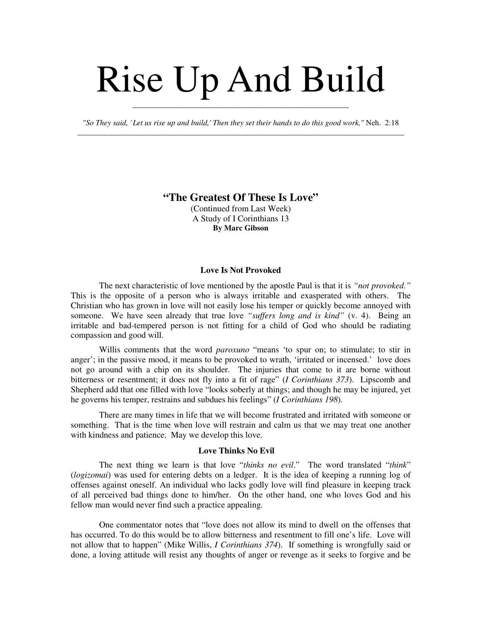# Rise Up And Build

*"So They said, `Let us rise up and build,' Then they set their hands to do this good work,"* Neh. 2:18 \_\_\_\_\_\_\_\_\_\_\_\_\_\_\_\_\_\_\_\_\_\_\_\_\_\_\_\_\_\_\_\_\_\_\_\_\_\_\_\_\_\_\_\_\_\_\_\_\_\_\_\_\_\_\_\_\_\_\_\_\_\_\_\_\_\_\_\_\_\_\_\_\_\_\_\_\_\_\_\_\_\_\_

\_\_\_\_\_\_\_\_\_\_\_\_\_\_\_\_\_\_\_\_\_\_\_\_\_\_\_\_\_\_\_\_\_\_\_\_\_\_\_\_\_\_\_\_\_\_\_\_\_\_\_\_\_\_\_

# **"The Greatest Of These Is Love"**

(Continued from Last Week) A Study of I Corinthians 13 **By Marc Gibson**

#### **Love Is Not Provoked**

The next characteristic of love mentioned by the apostle Paul is that it is *"not provoked."* This is the opposite of a person who is always irritable and exasperated with others. The Christian who has grown in love will not easily lose his temper or quickly become annoyed with someone. We have seen already that true love *"suffers long and is kind"* (v. 4). Being an irritable and bad-tempered person is not fitting for a child of God who should be radiating compassion and good will.

Willis comments that the word *paroxuno* "means 'to spur on; to stimulate; to stir in anger'; in the passive mood, it means to be provoked to wrath, 'irritated or incensed.' love does not go around with a chip on its shoulder. The injuries that come to it are borne without bitterness or resentment; it does not fly into a fit of rage" (*I Corinthians 373*). Lipscomb and Shepherd add that one filled with love "looks soberly at things; and though he may be injured, yet he governs his temper, restrains and subdues his feelings" (*I Corinthians 198*).

There are many times in life that we will become frustrated and irritated with someone or something. That is the time when love will restrain and calm us that we may treat one another with kindness and patience. May we develop this love.

#### **Love Thinks No Evil**

The next thing we learn is that love "*thinks no evil*." The word translated "*think*" (*logizomai*) was used for entering debts on a ledger. It is the idea of keeping a running log of offenses against oneself. An individual who lacks godly love will find pleasure in keeping track of all perceived bad things done to him/her. On the other hand, one who loves God and his fellow man would never find such a practice appealing.

One commentator notes that "love does not allow its mind to dwell on the offenses that has occurred. To do this would be to allow bitterness and resentment to fill one's life. Love will not allow that to happen" (Mike Willis, *I Corinthians 374*). If something is wrongfully said or done, a loving attitude will resist any thoughts of anger or revenge as it seeks to forgive and be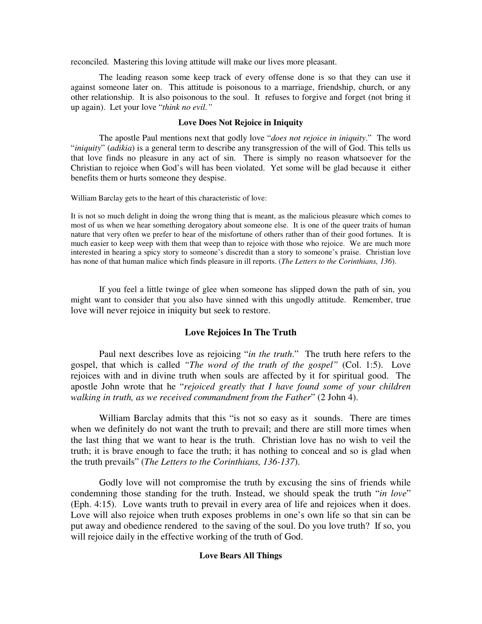reconciled. Mastering this loving attitude will make our lives more pleasant.

The leading reason some keep track of every offense done is so that they can use it against someone later on. This attitude is poisonous to a marriage, friendship, church, or any other relationship. It is also poisonous to the soul. It refuses to forgive and forget (not bring it up again). Let your love "*think no evil."*

#### **Love Does Not Rejoice in Iniquity**

The apostle Paul mentions next that godly love "*does not rejoice in iniquity*." The word "*iniquity*" (*adikia*) is a general term to describe any transgression of the will of God. This tells us that love finds no pleasure in any act of sin. There is simply no reason whatsoever for the Christian to rejoice when God's will has been violated. Yet some will be glad because it either benefits them or hurts someone they despise.

William Barclay gets to the heart of this characteristic of love:

It is not so much delight in doing the wrong thing that is meant, as the malicious pleasure which comes to most of us when we hear something derogatory about someone else. It is one of the queer traits of human nature that very often we prefer to hear of the misfortune of others rather than of their good fortunes. It is much easier to keep weep with them that weep than to rejoice with those who rejoice. We are much more interested in hearing a spicy story to someone's discredit than a story to someone's praise. Christian love has none of that human malice which finds pleasure in ill reports. (*The Letters to the Corinthians, 136*).

If you feel a little twinge of glee when someone has slipped down the path of sin, you might want to consider that you also have sinned with this ungodly attitude. Remember, true love will never rejoice in iniquity but seek to restore.

## **Love Rejoices In The Truth**

Paul next describes love as rejoicing "*in the truth*." The truth here refers to the gospel, that which is called *"The word of the truth of the gospel"* (Col. 1:5). Love rejoices with and in divine truth when souls are affected by it for spiritual good. The apostle John wrote that he "*rejoiced greatly that I have found some of your children walking in truth, as we received commandment from the Father*" (2 John 4).

William Barclay admits that this "is not so easy as it sounds. There are times when we definitely do not want the truth to prevail; and there are still more times when the last thing that we want to hear is the truth. Christian love has no wish to veil the truth; it is brave enough to face the truth; it has nothing to conceal and so is glad when the truth prevails" (*The Letters to the Corinthians, 136-137*).

Godly love will not compromise the truth by excusing the sins of friends while condemning those standing for the truth. Instead, we should speak the truth "*in love*" (Eph. 4:15). Love wants truth to prevail in every area of life and rejoices when it does. Love will also rejoice when truth exposes problems in one's own life so that sin can be put away and obedience rendered to the saving of the soul. Do you love truth? If so, you will rejoice daily in the effective working of the truth of God.

### **Love Bears All Things**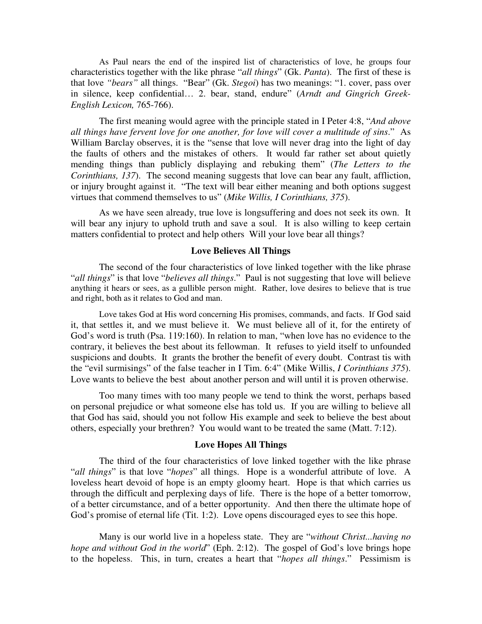As Paul nears the end of the inspired list of characteristics of love, he groups four characteristics together with the like phrase "*all things*" (Gk. *Panta*). The first of these is that love *"bears"* all things. "Bear" (Gk. *Stegoi*) has two meanings: "1. cover, pass over in silence, keep confidential… 2. bear, stand, endure" (*Arndt and Gingrich Greek-English Lexicon,* 765-766).

The first meaning would agree with the principle stated in I Peter 4:8, "*And above all things have fervent love for one another, for love will cover a multitude of sins*." As William Barclay observes, it is the "sense that love will never drag into the light of day the faults of others and the mistakes of others. It would far rather set about quietly mending things than publicly displaying and rebuking them" (*The Letters to the Corinthians, 137*). The second meaning suggests that love can bear any fault, affliction, or injury brought against it. "The text will bear either meaning and both options suggest virtues that commend themselves to us" (*Mike Willis, I Corinthians, 375*).

As we have seen already, true love is longsuffering and does not seek its own. It will bear any injury to uphold truth and save a soul. It is also willing to keep certain matters confidential to protect and help others Will your love bear all things?

## **Love Believes All Things**

The second of the four characteristics of love linked together with the like phrase "*all things*" is that love "*believes all things*." Paul is not suggesting that love will believe anything it hears or sees, as a gullible person might. Rather, love desires to believe that is true and right, both as it relates to God and man.

Love takes God at His word concerning His promises, commands, and facts. If God said it, that settles it, and we must believe it. We must believe all of it, for the entirety of God's word is truth (Psa. 119:160). In relation to man, "when love has no evidence to the contrary, it believes the best about its fellowman. It refuses to yield itself to unfounded suspicions and doubts. It grants the brother the benefit of every doubt. Contrast tis with the "evil surmisings" of the false teacher in I Tim. 6:4" (Mike Willis, *I Corinthians 375*). Love wants to believe the best about another person and will until it is proven otherwise.

Too many times with too many people we tend to think the worst, perhaps based on personal prejudice or what someone else has told us. If you are willing to believe all that God has said, should you not follow His example and seek to believe the best about others, especially your brethren? You would want to be treated the same (Matt. 7:12).

#### **Love Hopes All Things**

The third of the four characteristics of love linked together with the like phrase "*all things*" is that love "*hopes*" all things. Hope is a wonderful attribute of love. A loveless heart devoid of hope is an empty gloomy heart. Hope is that which carries us through the difficult and perplexing days of life. There is the hope of a better tomorrow, of a better circumstance, and of a better opportunity. And then there the ultimate hope of God's promise of eternal life (Tit. 1:2). Love opens discouraged eyes to see this hope.

Many is our world live in a hopeless state. They are "*without Christ...having no hope and without God in the world*" (Eph. 2:12). The gospel of God's love brings hope to the hopeless. This, in turn, creates a heart that "*hopes all things*." Pessimism is